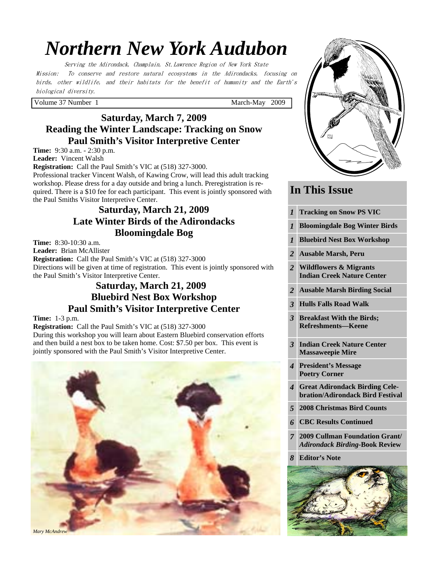# *Northern New York Audubon*

Serving the Adirondack, Champlain, St.Lawrence Region of New York State Mission: To conserve and restore natural ecosystems in the Adirondacks, focusing on birds, other wildlife, and their habitats for the benefit of humanity and the Earth's biological diversity.

Volume 37 Number 1 March-May 2009

# **Saturday, March 7, 2009 Reading the Winter Landscape: Tracking on Snow Paul Smith's Visitor Interpretive Center**

**Time:** 9:30 a.m. - 2:30 p.m.

**Leader:** Vincent Walsh

**Registration:** Call the Paul Smith's VIC at (518) 327-3000.

Professional tracker Vincent Walsh, of Kawing Crow, will lead this adult tracking workshop. Please dress for a day outside and bring a lunch. Preregistration is required. There is a \$10 fee for each participant. This event is jointly sponsored with the Paul Smiths Visitor Interpretive Center.

# **Saturday, March 21, 2009 Late Winter Birds of the Adirondacks Bloomingdale Bog**

**Time:** 8:30-10:30 a.m.

**Leader:** Brian McAllister **Registration:** Call the Paul Smith's VIC at (518) 327-3000 Directions will be given at time of registration. This event is jointly sponsored with the Paul Smith's Visitor Interpretive Center.

# **Saturday, March 21, 2009 Bluebird Nest Box Workshop Paul Smith's Visitor Interpretive Center**

### **Time:** 1-3 p.m.

**Registration:** Call the Paul Smith's VIC at (518) 327-3000 During this workshop you will learn about Eastern Bluebird conservation efforts and then build a nest box to be taken home. Cost: \$7.50 per box. This event is jointly sponsored with the Paul Smith's Visitor Interpretive Center.





# **In This Issue**

- *1* **Tracking on Snow PS VIC**
- *1* **Bloomingdale Bog Winter Birds**
- *1* **Bluebird Nest Box Workshop**
- *2* **Ausable Marsh, Peru**
- *2* **Wildflowers & Migrants Indian Creek Nature Center**
- *2* **Ausable Marsh Birding Social**
- *3* **Hulls Falls Road Walk**
- *3* **Breakfast With the Birds; Refreshments—Keene**
- *3* **Indian Creek Nature Center Massaweepie Mire**
- *4* **President's Message Poetry Corner**
- *4* **Great Adirondack Birding Celebration/Adirondack Bird Festival**
- *5* **2008 Christmas Bird Counts**
- *6* **CBC Results Continued**
- *7* **2009 Cullman Foundation Grant/**  *Adirondack Birding-***Book Review**
- *8* **Editor's Note**

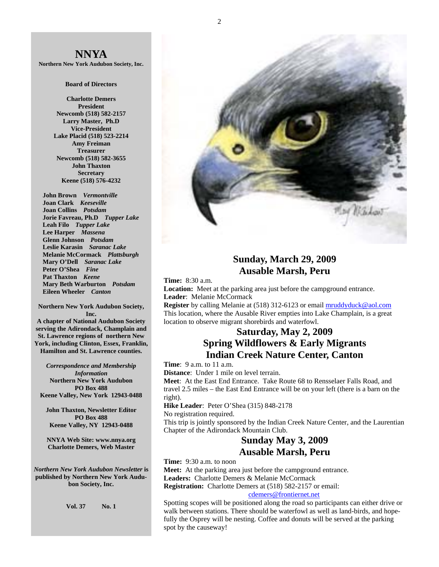

**Northern New York Audubon Society, Inc.** 

#### **Board of Directors**

**Charlotte Demers President Newcomb (518) 582-2157 Larry Master, Ph.D Vice-President Lake Placid (518) 523-2214 Amy Freiman Treasurer Newcomb (518) 582-3655 John Thaxton Secretary Keene (518) 576-4232** 

 **John Brown** *Vermontville*  **Joan Clark** *Keeseville*  **Joan Collins** *Potsdam*   **Jorie Favreau, Ph.D** *Tupper Lake*  **Leah Filo** *Tupper Lake*  **Lee Harper** *Massena*   **Glenn Johnson** *Potsdam*   **Leslie Karasin** *Saranac Lake*  **Melanie McCormack** *Plattsburgh*   **Mary O'Dell** *Saranac Lake*  **Peter O'Shea** *Fine*   **Pat Thaxton** *Keene*   **Mary Beth Warburton** *Potsdam*   **Eileen Wheeler** *Canton* 

**Northern New York Audubon Society, Inc. A chapter of National Audubon Society serving the Adirondack, Champlain and St. Lawrence regions of northern New York, including Clinton, Essex, Franklin,** 

**Hamilton and St. Lawrence counties.**  *Correspondence and Membership* 

*Information* **Northern New York Audubon PO Box 488 Keene Valley, New York 12943-0488** 

**John Thaxton, Newsletter Editor PO Box 488 Keene Valley, NY 12943-0488** 

**NNYA Web Site: www.nnya.org Charlotte Demers, Web Master** 

*Northern New York Audubon Newsletter* **is published by Northern New York Audubon Society, Inc.** 

**Vol. 37 No. 1** 



### **Sunday, March 29, 2009 Ausable Marsh, Peru**

**Time:** 8:30 a.m.

**Location:** Meet at the parking area just before the campground entrance. **Leader**: Melanie McCormack

**Register** by calling Melanie at (518) 312-6123 or email mruddyduck@aol.com This location, where the Ausable River empties into Lake Champlain, is a great location to observe migrant shorebirds and waterfowl.

# **Saturday, May 2, 2009 Spring Wildflowers & Early Migrants Indian Creek Nature Center, Canton**

**Time**: 9 a.m. to 11 a.m.

**Distance**: Under 1 mile on level terrain.

**Meet**: At the East End Entrance. Take Route 68 to Rensselaer Falls Road, and travel 2.5 miles – the East End Entrance will be on your left (there is a barn on the right).

**Hike Leader**: Peter O'Shea (315) 848-2178

No registration required.

This trip is jointly sponsored by the Indian Creek Nature Center, and the Laurentian Chapter of the Adirondack Mountain Club.

### **Sunday May 3, 2009 Ausable Marsh, Peru**

**Time:** 9:30 a.m. to noon

**Meet:** At the parking area just before the campground entrance. **Leaders:** Charlotte Demers & Melanie McCormack **Registration:** Charlotte Demers at (518) 582-2157 or email:

cdemers@frontiernet.net

Spotting scopes will be positioned along the road so participants can either drive or walk between stations. There should be waterfowl as well as land-birds, and hopefully the Osprey will be nesting. Coffee and donuts will be served at the parking spot by the causeway!

2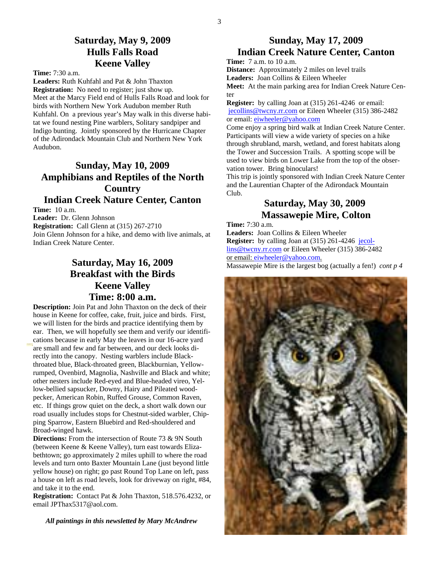### **Saturday, May 9, 2009 Hulls Falls Road Keene Valley**

**Time:** 7:30 a.m.

**Leaders:** Ruth Kuhfahl and Pat & John Thaxton **Registration:** No need to register; just show up. Meet at the Marcy Field end of Hulls Falls Road and look for birds with Northern New York Audubon member Ruth Kuhfahl. On a previous year's May walk in this diverse habitat we found nesting Pine warblers, Solitary sandpiper and Indigo bunting. Jointly sponsored by the Hurricane Chapter of the Adirondack Mountain Club and Northern New York Audubon.

# **Sunday, May 10, 2009 Amphibians and Reptiles of the North Country Indian Creek Nature Center, Canton**

**Time:** 10 a.m.

**Leader:** Dr. Glenn Johnson **Registration:** Call Glenn at (315) 267-2710 Join Glenn Johnson for a hike, and demo with live animals, at Indian Creek Nature Center.

# **Saturday, May 16, 2009 Breakfast with the Birds Keene Valley Time: 8:00 a.m.**

**Description:** Join Pat and John Thaxton on the deck of their house in Keene for coffee, cake, fruit, juice and birds. First, we will listen for the birds and practice identifying them by ear. Then, we will hopefully see them and verify our identifications because in early May the leaves in our 16-acre yard are small and few and far between, and our deck looks directly into the canopy. Nesting warblers include Blackthroated blue, Black-throated green, Blackburnian, Yellowrumped, Ovenbird, Magnolia, Nashville and Black and white; other nesters include Red-eyed and Blue-headed vireo, Yellow-bellied sapsucker, Downy, Hairy and Pileated woodpecker, American Robin, Ruffed Grouse, Common Raven, etc. If things grow quiet on the deck, a short walk down our road usually includes stops for Chestnut-sided warbler, Chipping Sparrow, Eastern Bluebird and Red-shouldered and Broad-winged hawk.

**Directions:** From the intersection of Route 73 & 9N South (between Keene & Keene Valley), turn east towards Elizabethtown; go approximately 2 miles uphill to where the road levels and turn onto Baxter Mountain Lane (just beyond little yellow house) on right; go past Round Top Lane on left, pass a house on left as road levels, look for driveway on right, #84, and take it to the end.

**Registration:** Contact Pat & John Thaxton, 518.576.4232, or email JPThax5317@aol.com.

 *All paintings in this newsletted by Mary McAndrew*

# **Sunday, May 17, 2009 Indian Creek Nature Center, Canton**

**Time:** 7 a.m. to 10 a.m.

**Distance:** Approximately 2 miles on level trails

**Leaders:** Joan Collins & Eileen Wheeler

**Meet:** At the main parking area for Indian Creek Nature Center

**Register:** by calling Joan at (315) 261-4246 or email: jecollins@twcny.rr.com or Eileen Wheeler (315) 386-2482 or email: eiwheeler@yahoo.com

Come enjoy a spring bird walk at Indian Creek Nature Center. Participants will view a wide variety of species on a hike through shrubland, marsh, wetland, and forest habitats along the Tower and Succession Trails. A spotting scope will be used to view birds on Lower Lake from the top of the observation tower. Bring binoculars!

This trip is jointly sponsored with Indian Creek Nature Center and the Laurentian Chapter of the Adirondack Mountain Club.

### **Saturday, May 30, 2009 Massawepie Mire, Colton**

**Time:** 7:30 a.m.

**Leaders:** Joan Collins & Eileen Wheeler **Register:** by calling Joan at (315) 261-4246 jecollins@twcny.rr.com or Eileen Wheeler (315) 386-2482 or email: eiwheeler@yahoo.com. Massawepie Mire is the largest bog (actually a fen!) *cont p 4*

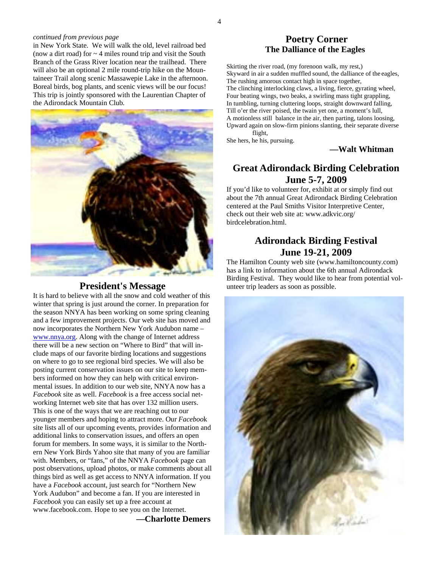#### *continued from previous page*

in New York State. We will walk the old, level railroad bed (now a dirt road) for  $\sim$  4 miles round trip and visit the South Branch of the Grass River location near the trailhead. There will also be an optional 2 mile round-trip hike on the Mountaineer Trail along scenic Massawepie Lake in the afternoon. Boreal birds, bog plants, and scenic views will be our focus! This trip is jointly sponsored with the Laurentian Chapter of the Adirondack Mountain Club.



### **President's Message**

It is hard to believe with all the snow and cold weather of this winter that spring is just around the corner. In preparation for the season NNYA has been working on some spring cleaning and a few improvement projects. Our web site has moved and now incorporates the Northern New York Audubon name – www.nnya.org. Along with the change of Internet address there will be a new section on "Where to Bird" that will include maps of our favorite birding locations and suggestions on where to go to see regional bird species. We will also be posting current conservation issues on our site to keep members informed on how they can help with critical environmental issues. In addition to our web site, NNYA now has a *Facebook* site as well. *Facebook* is a free access social networking Internet web site that has over 132 million users. This is one of the ways that we are reaching out to our younger members and hoping to attract more. Our *Faceboo*k site lists all of our upcoming events, provides information and additional links to conservation issues, and offers an open forum for members. In some ways, it is similar to the Northern New York Birds Yahoo site that many of you are familiar with. Members, or "fans," of the NNYA *Facebook* page can post observations, upload photos, or make comments about all things bird as well as get access to NNYA information. If you have a *Facebook* account, just search for "Northern New York Audubon" and become a fan. If you are interested in *Facebook* you can easily set up a free account at www.facebook.com. Hope to see you on the Internet.

**—Charlotte Demers** 

### **Poetry Corner The Dalliance of the Eagles**

Skirting the river road, (my forenoon walk, my rest,) Skyward in air a sudden muffled sound, the dalliance of the eagles, The rushing amorous contact high in space together, The clinching interlocking claws, a living, fierce, gyrating wheel, Four beating wings, two beaks, a swirling mass tight grappling, In tumbling, turning cluttering loops, straight downward falling, Till o'er the river poised, the twain yet one, a moment's lull, A motionless still balance in the air, then parting, talons loosing, Upward again on slow-firm pinions slanting, their separate diverse flight,

She hers, he his, pursuing.

#### **—Walt Whitman**

### **Great Adirondack Birding Celebration June 5-7, 2009**

If you'd like to volunteer for, exhibit at or simply find out about the 7th annual Great Adirondack Birding Celebration centered at the Paul Smiths Visitor Interpretive Center, check out their web site at: www.adkvic.org/ birdcelebration.html.

### **Adirondack Birding Festival June 19-21, 2009**

The Hamilton County web site (www.hamiltoncounty.com) has a link to information about the 6th annual Adirondack Birding Festival. They would like to hear from potential volunteer trip leaders as soon as possible.

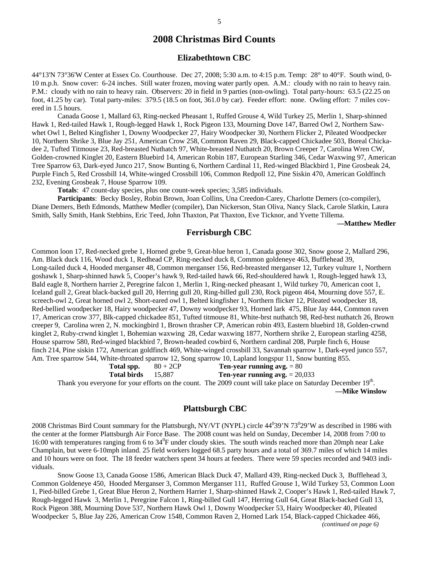#### **Elizabethtown CBC**

44°13'N 73°36'W Center at Essex Co. Courthouse. Dec 27, 2008; 5:30 a.m. to 4:15 p.m. Temp: 28° to 40°F. South wind, 0- 10 m.p.h. Snow cover: 6-24 inches. Still water frozen, moving water partly open. A.M.: cloudy with no rain to heavy rain. P.M.: cloudy with no rain to heavy rain. Observers: 20 in field in 9 parties (non-owling). Total party-hours: 63.5 (22.25 on foot, 41.25 by car). Total party-miles: 379.5 (18.5 on foot, 361.0 by car). Feeder effort: none. Owling effort: 7 miles covered in 1.5 hours.

 Canada Goose 1, Mallard 63, Ring-necked Pheasant 1, Ruffed Grouse 4, Wild Turkey 25, Merlin 1, Sharp-shinned Hawk 1, Red-tailed Hawk 1, Rough-legged Hawk 1, Rock Pigeon 133, Mourning Dove 147, Barred Owl 2, Northern Sawwhet Owl 1, Belted Kingfisher 1, Downy Woodpecker 27, Hairy Woodpecker 30, Northern Flicker 2, Pileated Woodpecker 10, Northern Shrike 3, Blue Jay 251, American Crow 258, Common Raven 29, Black-capped Chickadee 503, Boreal Chickadee 2, Tufted Titmouse 23, Red-breasted Nuthatch 97, White-breasted Nuthatch 20, Brown Creeper 7, Carolina Wren CW, Golden-crowned Kinglet 20, Eastern Bluebird 14, American Robin 187, European Starling 346, Cedar Waxwing 97, American Tree Sparrow 63, Dark-eyed Junco 217, Snow Bunting 6, Northern Cardinal 11, Red-winged Blackbird 1, Pine Grosbeak 24, Purple Finch 5, Red Crossbill 14, White-winged Crossbill 106, Common Redpoll 12, Pine Siskin 470, American Goldfinch 232, Evening Grosbeak 7, House Sparrow 109.

**Totals**: 47 count-day species, plus one count-week species; 3,585 individuals.

**Participants**: Becky Bosley, Robin Brown, Joan Collins, Una Creedon-Carey, Charlotte Demers (co-compiler), Diane Demers, Beth Edmonds, Matthew Medler (compiler), Dan Nickerson, Stan Oliva, Nancy Slack, Carole Slatkin, Laura Smith, Sally Smith, Hank Stebbins, Eric Teed, John Thaxton, Pat Thaxton, Eve Ticknor, and Yvette Tillema.

 **—Matthew Medler** 

### **Ferrisburgh CBC**

Common loon 17, Red-necked grebe 1, Horned grebe 9, Great-blue heron 1, Canada goose 302, Snow goose 2, Mallard 296, Am. Black duck 116, Wood duck 1, Redhead CP, Ring-necked duck 8, Common goldeneye 463, Bufflehead 39, Long-tailed duck 4, Hooded merganser 48, Common merganser 156, Red-breasted merganser 12, Turkey vulture 1, Northern goshawk 1, Sharp-shinned hawk 5, Cooper's hawk 9, Red-tailed hawk 66, Red-shouldered hawk 1, Rough-legged hawk 13, Bald eagle 8, Northern harrier 2, Peregrine falcon 1, Merlin 1, Ring-necked pheasant 1, Wild turkey 70, American coot 1, Iceland gull 2, Great black-backed gull 20, Herring gull 20, Ring-billed gull 230, Rock pigeon 464, Mourning dove 557, E. screech-owl 2, Great horned owl 2, Short-eared owl 1, Belted kingfisher 1, Northern flicker 12, Pileated woodpecker 18, Red-bellied woodpecker 18, Hairy woodpecker 47, Downy woodpecker 93, Horned lark 475, Blue Jay 444, Common raven 17, American crow 377, Blk-capped chickadee 851, Tufted titmouse 81, White-brst nuthatch 98, Red-brst nuthatch 26, Brown creeper 9, Carolina wren 2, N. mockingbird 1, Brown thrasher CP, American robin 493, Eastern bluebird 18, Golden-crwnd kinglet 2, Ruby-crwnd kinglet 1, Bohemian waxwing 28, Cedar waxwing 1877, Northern shrike 2, European starling 4258, House sparrow 580, Red-winged blackbird 7, Brown-headed cowbird 6, Northern cardinal 208, Purple finch 6, House finch 214, Pine siskin 172, American goldfinch 469, White-winged crossbill 33, Savannah sparrow 1, Dark-eyed junco 557, Am. Tree sparrow 544, White-throated sparrow 12, Song sparrow 10, Lapland longspur 11, Snow bunting 855.

**Total spp.**  $80 + 2CP$  **Ten-year running avg.**  $= 80$ 

 **Total birds** 15,887 **Ten-year running avg.** = 20,033

Thank you everyone for your efforts on the count. The 2009 count will take place on Saturday December  $19<sup>th</sup>$ . **—Mike Winslow** 

### **Plattsburgh CBC**

2008 Christmas Bird Count summary for the Plattsburgh, NY/VT (NYPL) circle  $44^039'N73^029'W$  as described in 1986 with the center at the former Plattsburgh Air Force Base. The 2008 count was held on Sunday, December 14, 2008 from 7:00 to 16:00 with temperatures ranging from 6 to  $34^0$ F under cloudy skies. The south winds reached more than 20mph near Lake Champlain, but were 6-10mph inland. 25 field workers logged 68.5 party hours and a total of 369.7 miles of which 14 miles and 10 hours were on foot. The 18 feeder watchers spent 34 hours at feeders. There were 59 species recorded and 9403 individuals.

 Snow Goose 13, Canada Goose 1586, American Black Duck 47, Mallard 439, Ring-necked Duck 3, Bufflehead 3, Common Goldeneye 450, Hooded Merganser 3, Common Merganser 111, Ruffed Grouse 1, Wild Turkey 53, Common Loon 1, Pied-billed Grebe 1, Great Blue Heron 2, Northern Harrier 1, Sharp-shinned Hawk 2, Cooper's Hawk 1, Red-tailed Hawk 7, Rough-legged Hawk 3, Merlin 1, Peregrine Falcon 1, Ring-billed Gull 147, Herring Gull 64, Great Black-backed Gull 13, Rock Pigeon 388, Mourning Dove 537, Northern Hawk Owl 1, Downy Woodpecker 53, Hairy Woodpecker 40, Pileated Woodpecker 5, Blue Jay 226, American Crow 1548, Common Raven 2, Horned Lark 154, Black-capped Chickadee 466, *(continued on page 6)*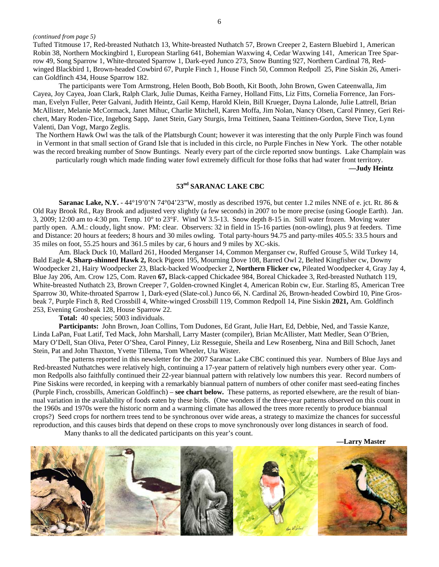#### *(continued from page 5)*

Tufted Titmouse 17, Red-breasted Nuthatch 13, White-breasted Nuthatch 57, Brown Creeper 2, Eastern Bluebird 1, American Robin 38, Northern Mockingbird 1, European Starling 641, Bohemian Waxwing 4, Cedar Waxwing 141, American Tree Sparrow 49, Song Sparrow 1, White-throated Sparrow 1, Dark-eyed Junco 273, Snow Bunting 927, Northern Cardinal 78, Redwinged Blackbird 1, Brown-headed Cowbird 67, Purple Finch 1, House Finch 50, Common Redpoll 25, Pine Siskin 26, American Goldfinch 434, House Sparrow 182.

 The participants were Tom Armstrong, Helen Booth, Bob Booth, Kit Booth, John Brown, Gwen Cateenwalla, Jim Cayea, Joy Cayea, Joan Clark, Ralph Clark, Julie Dumas, Keitha Farney, Holland Fitts, Liz Fitts, Cornelia Forrence, Jan Forsman, Evelyn Fuller, Peter Galvani, Judith Heintz, Gail Kemp, Harold Klein, Bill Krueger, Dayna Lalonde, Julie Lattrell, Brian McAllister, Melanie McCormack, Janet Mihuc, Charlie Mitchell, Karen Moffa, Jim Nolan, Nancy Olsen, Carol Pinney, Geri Reichert, Mary Roden-Tice, Ingeborg Sapp, Janet Stein, Gary Sturgis, Irma Teittinen, Saana Teittinen-Gordon, Steve Tice, Lynn Valenti, Dan Vogt, Margo Zeglis.

The Northern Hawk Owl was the talk of the Plattsburgh Count; however it was interesting that the only Purple Finch was found in Vermont in that small section of Grand Isle that is included in this circle, no Purple Finches in New York. The other notable was the record breaking number of Snow Buntings. Nearly every part of the circle reported snow buntings. Lake Champlain was

particularly rough which made finding water fowl extremely difficult for those folks that had water front territory.

**—Judy Heintz** 

#### **53nd SARANAC LAKE CBC**

**Saranac Lake, N.Y.** - 44°19'0'N 74°04'23"W, mostly as described 1976, but center 1.2 miles NNE of e. jct. Rt. 86  $\&$ Old Ray Brook Rd., Ray Brook and adjusted very slightly (a few seconds) in 2007 to be more precise (using Google Earth). Jan. 3, 2009; 12:00 am to 4:30 pm. Temp. 10° to 23°F. Wind W 3.5-13. Snow depth 8-15 in. Still water frozen. Moving water partly open. A.M.: cloudy, light snow. PM: clear. Observers: 32 in field in 15-16 parties (non-owling), plus 9 at feeders. Time and Distance: 20 hours at feeders; 8 hours and 30 miles owling. Total party-hours 94.75 and party-miles 405.5: 33.5 hours and 35 miles on foot, 55.25 hours and 361.5 miles by car, 6 hours and 9 miles by XC-skis.

 Am. Black Duck 10, Mallard 261, Hooded Merganser 14, Common Merganser cw, Ruffed Grouse 5, Wild Turkey 14, Bald Eagle **4, Sharp-shinned Hawk 2,** Rock Pigeon 195, Mourning Dove 108, Barred Owl 2, Belted Kingfisher cw, Downy Woodpecker 21, Hairy Woodpecker 23, Black-backed Woodpecker 2, **Northern Flicker cw,** Pileated Woodpecker 4, Gray Jay 4, Blue Jay 206, Am. Crow 125, Com. Raven **67,** Black-capped Chickadee 984, Boreal Chickadee 3, Red-breasted Nuthatch 119, White-breasted Nuthatch 23, Brown Creeper 7, Golden-crowned Kinglet 4, American Robin cw, Eur. Starling 85, American Tree Sparrow 30, White-throated Sparrow 1, Dark-eyed (Slate-col.) Junco 66, N. Cardinal 26, Brown-headed Cowbird 10, Pine Grosbeak 7, Purple Finch 8, Red Crossbill 4, White-winged Crossbill 119, Common Redpoll 14, Pine Siskin **2021,** Am. Goldfinch 253, Evening Grosbeak 128, House Sparrow 22.

**Total:** 40 species; 5003 individuals.

 **Participants:** John Brown, Joan Collins, Tom Dudones, Ed Grant, Julie Hart, Ed, Debbie, Ned, and Tassie Kanze, Linda LaPan, Fuat Latif, Ted Mack, John Marshall, Larry Master (compiler), Brian McAllister, Matt Medler, Sean O'Brien, Mary O'Dell, Stan Oliva, Peter O'Shea, Carol Pinney, Liz Resseguie, Sheila and Lew Rosenberg, Nina and Bill Schoch, Janet Stein, Pat and John Thaxton, Yvette Tillema, Tom Wheeler, Uta Wister.

The patterns reported in this newsletter for the 2007 Saranac Lake CBC continued this year. Numbers of Blue Jays and Red-breasted Nuthatches were relatively high, continuing a 17-year pattern of relatively high numbers every other year. Common Redpolls also faithfully continued their 22-year biannual pattern with relatively low numbers this year. Record numbers of Pine Siskins were recorded, in keeping with a remarkably biannual pattern of numbers of other conifer mast seed-eating finches (Purple Finch, crossbills, American Goldfinch) – **see chart below.** These patterns, as reported elsewhere, are the result of biannual variation in the availability of foods eaten by these birds. (One wonders if the three-year patterns observed on this count in the 1960s and 1970s were the historic norm and a warming climate has allowed the trees more recently to produce biannual crops?) Seed crops for northern trees tend to be synchronous over wide areas, a strategy to maximize the chances for successful reproduction, and this causes birds that depend on these crops to move synchronously over long distances in search of food. Many thanks to all the dedicated participants on this year's count.

**—Larry Master** 

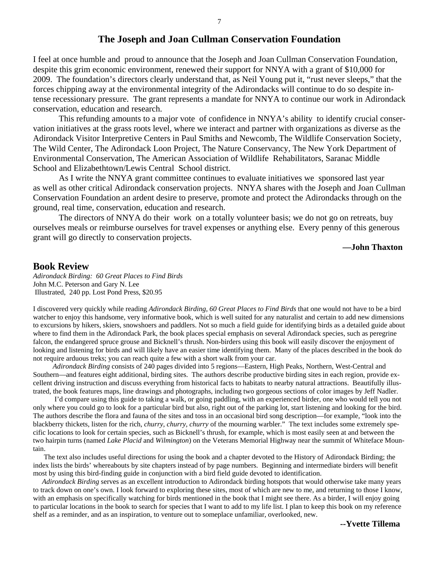### **The Joseph and Joan Cullman Conservation Foundation**

I feel at once humble and proud to announce that the Joseph and Joan Cullman Conservation Foundation, despite this grim economic environment, renewed their support for NNYA with a grant of \$10,000 for 2009. The foundation's directors clearly understand that, as Neil Young put it, "rust never sleeps," that the forces chipping away at the environmental integrity of the Adirondacks will continue to do so despite intense recessionary pressure. The grant represents a mandate for NNYA to continue our work in Adirondack conservation, education and research.

 This refunding amounts to a major vote of confidence in NNYA's ability to identify crucial conservation initiatives at the grass roots level, where we interact and partner with organizations as diverse as the Adirondack Visitor Interpretive Centers in Paul Smiths and Newcomb, The Wildlife Conservation Society, The Wild Center, The Adirondack Loon Project, The Nature Conservancy, The New York Department of Environmental Conservation, The American Association of Wildlife Rehabilitators, Saranac Middle School and Elizabethtown/Lewis Central School district.

 As I write the NNYA grant committee continues to evaluate initiatives we sponsored last year as well as other critical Adirondack conservation projects. NNYA shares with the Joseph and Joan Cullman Conservation Foundation an ardent desire to preserve, promote and protect the Adirondacks through on the ground, real time, conservation, education and research.

 The directors of NNYA do their work on a totally volunteer basis; we do not go on retreats, buy ourselves meals or reimburse ourselves for travel expenses or anything else. Every penny of this generous grant will go directly to conservation projects.

### **—John Thaxton**

### **Book Review**

*Adirondack Birding: 60 Great Places to Find Birds*  John M.C. Peterson and Gary N. Lee Illustrated, 240 pp. Lost Pond Press, \$20.95

I discovered very quickly while reading *Adirondack Birding, 60 Great Places to Find Birds* that one would not have to be a bird watcher to enjoy this handsome, very informative book, which is well suited for any naturalist and certain to add new dimensions to excursions by hikers, skiers, snowshoers and paddlers. Not so much a field guide for identifying birds as a detailed guide about where to find them in the Adirondack Park, the book places special emphasis on several Adirondack species, such as peregrine falcon, the endangered spruce grouse and Bicknell's thrush. Non-birders using this book will easily discover the enjoyment of looking and listening for birds and will likely have an easier time identifying them. Many of the places described in the book do not require arduous treks; you can reach quite a few with a short walk from your car.

 *Adirondack Birding* consists of 240 pages divided into 5 regions—Eastern, High Peaks, Northern, West-Central and Southern—and features eight additional, birding sites. The authors describe productive birding sites in each region, provide excellent driving instruction and discuss everything from historical facts to habitats to nearby natural attractions. Beautifully illustrated, the book features maps, line drawings and photographs, including two gorgeous sections of color images by Jeff Nadler.

 I'd compare using this guide to taking a walk, or going paddling, with an experienced birder, one who would tell you not only where you could go to look for a particular bird but also, right out of the parking lot, start listening and looking for the bird. The authors describe the flora and fauna of the sites and toss in an occasional bird song description—for example, "look into the blackberry thickets, listen for the rich, *churry, churry, churry* of the mourning warbler." The text includes some extremely specific locations to look for certain species, such as Bicknell's thrush, for example, which is most easily seen at and between the two hairpin turns (named *Lake Placid* and *Wilmington*) on the Veterans Memorial Highway near the summit of Whiteface Mountain.

 The text also includes useful directions for using the book and a chapter devoted to the History of Adirondack Birding; the index lists the birds' whereabouts by site chapters instead of by page numbers. Beginning and intermediate birders will benefit most by using this bird-finding guide in conjunction with a bird field guide devoted to identification.

 *Adirondack Birding* serves as an excellent introduction to Adirondack birding hotspots that would otherwise take many years to track down on one's own. I look forward to exploring these sites, most of which are new to me, and returning to those I know, with an emphasis on specifically watching for birds mentioned in the book that I might see there. As a birder, I will enjoy going to particular locations in the book to search for species that I want to add to my life list. I plan to keep this book on my reference shelf as a reminder, and as an inspiration, to venture out to someplace unfamiliar, overlooked, new.

**--Yvette Tillema**